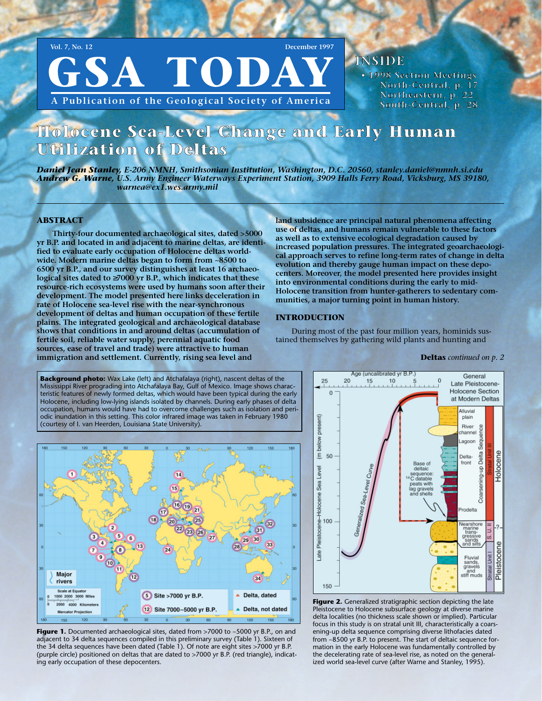GSA TODA **A Publication of the Geological Society of America**

INSIDE

• 1998 Section Meetings North-Central, p. 17 Northeastern, p. 22 South-Central, p. 28

# Holocene Sea-Level Change and Early Human Utilization of Deltas

*Daniel Jean Stanley, E-206 NMNH, Smithsonian Institution, Washington, D.C. 20560, stanley.daniel@nmnh.si.edu Andrew G. Warne, U.S. Army Engineer Waterways Experiment Station, 3909 Halls Ferry Road, Vicksburg, MS 39180, warnea@ex1.wes.army.mil*

#### **ABSTRACT**

**Thirty-four documented archaeological sites, dated >5000 yr B.P. and located in and adjacent to marine deltas, are identified to evaluate early occupation of Holocene deltas worldwide. Modern marine deltas began to form from ~8500 to 6500 yr B.P., and our survey distinguishes at least 16 archaeological sites dated to** ≥**7000 yr B.P., which indicates that these resource-rich ecosystems were used by humans soon after their development. The model presented here links deceleration in rate of Holocene sea-level rise with the near-synchronous development of deltas and human occupation of these fertile plains. The integrated geological and archaeological database shows that conditions in and around deltas (accumulation of fertile soil, reliable water supply, perennial aquatic food sources, ease of travel and trade) were attractive to human immigration and settlement. Currently, rising sea level and**

**land subsidence are principal natural phenomena affecting use of deltas, and humans remain vulnerable to these factors as well as to extensive ecological degradation caused by increased population pressures. The integrated geoarchaeological approach serves to refine long-term rates of change in delta evolution and thereby gauge human impact on these depocenters. Moreover, the model presented here provides insight into environmental conditions during the early to mid-Holocene transition from hunter-gatherers to sedentary communities, a major turning point in human history.** 

#### **INTRODUCTION**

During most of the past four million years, hominids sustained themselves by gathering wild plants and hunting and

Mississippi River prograding into Atchafalaya Bay, Gulf of Mexico. Image shows characteristic features of newly formed deltas, which would have been typical during the early Holocene, including low-lying islands isolated by channels. During early phases of delta occupation, humans would have had to overcome challenges such as isolation and periodic inundation in this setting. This color infrared image was taken in February 1980 (courtesy of I. van Heerden, Louisiana State University).

**Background photo:** Wax Lake (left) and Atchafalaya (right), nascent deltas of the



Figure 1. Documented archaeological sites, dated from >7000 to ~5000 yr B.P., on and adjacent to 34 delta sequences compiled in this preliminary survey (Table 1). Sixteen of the 34 delta sequences have been dated (Table 1). Of note are eight sites >7000 yr B.P. (purple circle) positioned on deltas that are dated to >7000 yr B.P. (red triangle), indicating early occupation of these depocenters.



**Figure 2.** Generalized stratigraphic section depicting the late Pleistocene to Holocene subsurface geology at diverse marine delta localities (no thickness scale shown or implied). Particular focus in this study is on stratal unit III, characteristically a coarsening-up delta sequence comprising diverse lithofacies dated from ~8500 yr B.P. to present. The start of deltaic sequence formation in the early Holocene was fundamentally controlled by the decelerating rate of sea-level rise, as noted on the generalized world sea-level curve (after Warne and Stanley, 1995).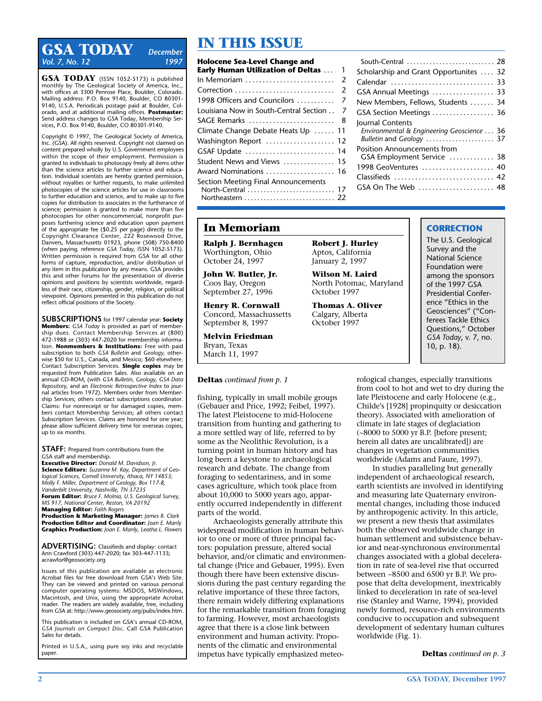## **IN THIS ISSUE**<br>Vol. 7 No. 12 **December ISSUE**<br>**Holocene Sea-Level Change a** *Vol. 7, No. 12*

**GSA TODAY** (ISSN 1052-5173) is published monthly by The Geological Society of America, Inc., with offices at 3300 Penrose Place, Boulder, Colorado. Mailing address: P.O. Box 9140, Boulder, CO 80301- 9140, U.S.A. Periodicals postage paid at Boulder, Colorado, and at additional mailing offices. **Postmaster:** Send address changes to GSA Today, Membership Services, P.O. Box 9140, Boulder, CO 80301-9140.

Copyright © 1997, The Geological Society of America, Inc. (GSA). All rights reserved. Copyright not claimed on content prepared wholly by U.S. Government employees within the scope of their employment. Permission is granted to individuals to photocopy freely all items other than the science articles to further science and education. Individual scientists are hereby granted permission, without royalties or further requests, to make unlimited photocopies of the science articles for use in classrooms to further education and science, and to make up to five copies for distribution to associates in the furtherance of science; permission is granted to make more than five photocopies for other noncommercial, nonprofit purposes furthering science and education upon payment of the appropriate fee (\$0.25 per page) directly to the Copyright Clearance Center, 222 Rosewood Drive, Danvers, Massachusetts 01923, phone (508) 750-8400 (when paying, reference *GSA Today,* ISSN 1052-5173). Written permission is required from GSA for all other forms of capture, reproduction, and/or distribution of any item in this publication by any means. GSA provides this and other forums for the presentation of diverse opinions and positions by scientists worldwide, regardless of their race, citizenship, gender, religion, or political viewpoint. Opinions presented in this publication do not reflect official positions of the Society.

**SUBSCRIPTIONS** for 1997 calendar year: **Society Members:** GSA Today is provided as part of membe ship dues. Contact Membership Services at (800) 472-1988 or (303) 447-2020 for membership information. **Nonmembers & Institutions:** Free with paid subscription to both *GSA Bulletin* and *Geology,* otherwise \$50 for U.S., Canada, and Mexico; \$60 elsewhere. Contact Subscription Services. **Single copies** may be requested from Publication Sales. Also available on an annual CD-ROM, (with *GSA Bulletin, Geology, GSA Data Repository,* and an *Electronic Retrospective Index* to journal articles from 1972). Members order from Membership Services; others contact subscriptions coordinator. Claims: For nonreceipt or for damaged copies, members contact Membership Services; all others contact Subscription Services. Claims are honored for one year; please allow sufficient delivery time for overseas copies, up to six months.

**STAFF:** Prepared from contributions from the GSA staff and membership. **Executive Director:** *Donald M. Davidson, Jr.*

**Science Editors:** *Suzanne M. Kay, Department of Geological Sciences, Cornell University, Ithaca, NY 14853; Molly F. Miller, Department of Geology, Box 117-B, Vanderbilt University, Nashville, TN 37235* **Forum Editor:** *Bruce F. Molnia, U.S. Geological Survey, MS 917, National Center, Reston, VA 20192* **Managing Editor:** *Faith Rogers*

**Production & Marketing Manager:** *James R. Clark* **Production Editor and Coordinator:** *Joan E. Manly* **Graphics Production:** *Joan E. Manly, Leatha L. Flowers*

**ADVERTISING:** Classifieds and display: contact Ann Crawford (303) 447-2020; fax 303-447-1133; acrawfor@geosociety.org

Issues of this publication are available as electronic Acrobat files for free download from GSA's Web Site. They can be viewed and printed on various personal computer operating systems: MSDOS, MSWindows, Macintosh, and Unix, using the appropriate Acrobat reader. The readers are widely available, free, including from GSA at: http://www.geosociety.org/pubs/index.htm.

This publication is included on GSA's annual CD-ROM, *GSA Journals on Compact Disc.* Call GSA Publication Sales for details.

Printed in U.S.A., using pure soy inks and recyclable paper.

| <b>Holocene Sea-Level Change and</b>                     |                |
|----------------------------------------------------------|----------------|
| <b>Early Human Utilization of Deltas </b>                | 1              |
| In Memoriam                                              | $\overline{2}$ |
| Correction                                               | 2              |
| 1998 Officers and Councilors                             | 7              |
| Louisiana Now in South-Central Section                   | 7              |
| SAGE Remarks                                             | 8              |
| Climate Change Debate Heats Up  11                       |                |
| Washington Report  12                                    |                |
| GSAF Update  14                                          |                |
| Student News and Views  15                               |                |
| Award Nominations  16                                    |                |
| Section Meeting Final Announcements<br>North-Central  17 |                |

| South-Central  28                                                                          |  |  |  |  |  |
|--------------------------------------------------------------------------------------------|--|--|--|--|--|
| Scholarship and Grant Opportunites  32                                                     |  |  |  |  |  |
| Calendar  33                                                                               |  |  |  |  |  |
| GSA Annual Meetings  33                                                                    |  |  |  |  |  |
| New Members, Fellows, Students  34                                                         |  |  |  |  |  |
| GSA Section Meetings  36                                                                   |  |  |  |  |  |
| Journal Contents<br>Environmental & Engineering Geoscience  36<br>Bulletin and Geology  37 |  |  |  |  |  |
| <b>Position Announcements from</b>                                                         |  |  |  |  |  |
| GSA Employment Service  38<br>1998 GeoVentures  40                                         |  |  |  |  |  |
| Classifieds  42                                                                            |  |  |  |  |  |
|                                                                                            |  |  |  |  |  |
| GSA On The Web  48                                                                         |  |  |  |  |  |

## **In Memoriam**

**Ralph J. Bernhagen** Worthington, Ohio October 24, 1997

**John W. Butler, Jr.** Coos Bay, Oregon September 27, 1996

**Henry R. Cornwall** Concord, Massachussetts September 8, 1997

**Melvin Friedman** Bryan, Texas March 11, 1997

#### **Deltas** *continued from p. 1*

fishing, typically in small mobile groups (Gebauer and Price, 1992; Feibel, 1997). The latest Pleistocene to mid-Holocene transition from hunting and gathering to a more settled way of life, referred to by some as the Neolithic Revolution, is a turning point in human history and has long been a keystone to archaeological research and debate. The change from foraging to sedentariness, and in some cases agriculture, which took place from about 10,000 to 5000 years ago, apparently occurred independently in different parts of the world.

Archaeologists generally attribute this widespread modification in human behavior to one or more of three principal factors: population pressure, altered social behavior, and/or climatic and environmental change (Price and Gebauer, 1995). Even though there have been extensive discussions during the past century regarding the relative importance of these three factors, there remain widely differing explanations for the remarkable transition from foraging to farming. However, most archaeologists agree that there is a close link between environment and human activity. Proponents of the climatic and environmental impetus have typically emphasized meteo-

**Robert J. Hurley** Aptos, California January 2, 1997

**Wilson M. Laird** North Potomac, Maryland October 1997

**Thomas A. Oliver** Calgary, Alberta October 1997

## **CORRECTION**

The U.S. Geological Survey and the National Science Foundation were among the sponsors of the 1997 GSA Presidential Conference "Ethics in the Geosciences" ("Conferees Tackle Ethics Questions," October *GSA Today*, v. 7, no. 10, p. 18).

rological changes, especially transitions from cool to hot and wet to dry during the late Pleistocene and early Holocene (e.g., Childe's [1928] propinquity or desiccation theory). Associated with amelioration of climate in late stages of deglaciation (~8000 to 5000 yr B.P. [before present; herein all dates are uncalibrated]) are changes in vegetation communities worldwide (Adams and Faure, 1997).

In studies paralleling but generally independent of archaeological research, earth scientists are involved in identifying and measuring late Quaternary environmental changes, including those induced by anthropogenic activity. In this article, we present a new thesis that assimilates both the observed worldwide change in human settlement and subsistence behavior and near-synchronous environmental changes associated with a global deceleration in rate of sea-level rise that occurred between ~8500 and 6500 yr B.P. We propose that delta development, inextricably linked to deceleration in rate of sea-level rise (Stanley and Warne, 1994), provided newly formed, resource-rich environments conducive to occupation and subsequent development of sedentary human cultures worldwide (Fig. 1).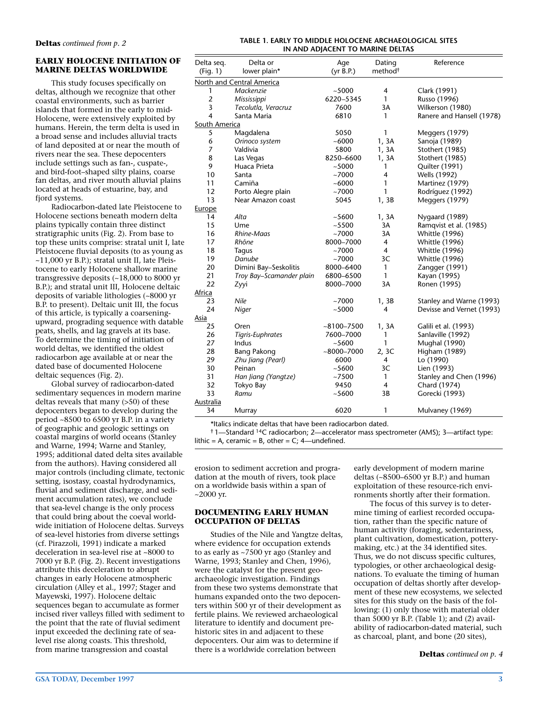#### **EARLY HOLOCENE INITIATION OF MARINE DELTAS WORLDWIDE**

This study focuses specifically on deltas, although we recognize that other coastal environments, such as barrier islands that formed in the early to mid-Holocene, were extensively exploited by humans. Herein, the term delta is used in a broad sense and includes alluvial tracts of land deposited at or near the mouth of rivers near the sea. These depocenters include settings such as fan-, cuspate-, and bird-foot–shaped silty plains, coarse fan deltas, and river mouth alluvial plains located at heads of estuarine, bay, and fjord systems.

Radiocarbon-dated late Pleistocene to Holocene sections beneath modern delta plains typically contain three distinct stratigraphic units (Fig. 2). From base to top these units comprise: stratal unit I, late Pleistocene fluvial deposits (to as young as ~11,000 yr B.P.); stratal unit II, late Pleistocene to early Holocene shallow marine transgressive deposits (~18,000 to 8000 yr B.P.); and stratal unit III, Holocene deltaic deposits of variable lithologies (~8000 yr B.P. to present). Deltaic unit III, the focus of this article, is typically a coarseningupward, prograding sequence with datable peats, shells, and lag gravels at its base. To determine the timing of initiation of world deltas, we identified the oldest radiocarbon age available at or near the dated base of documented Holocene deltaic sequences (Fig. 2).

Global survey of radiocarbon-dated sedimentary sequences in modern marine deltas reveals that many (>50) of these depocenters began to develop during the period ~8500 to 6500 yr B.P. in a variety of geographic and geologic settings on coastal margins of world oceans (Stanley and Warne, 1994; Warne and Stanley, 1995; additional dated delta sites available from the authors). Having considered all major controls (including climate, tectonic setting, isostasy, coastal hydrodynamics, fluvial and sediment discharge, and sediment accumulation rates), we conclude that sea-level change is the only process that could bring about the coeval worldwide initiation of Holocene deltas. Surveys of sea-level histories from diverse settings (cf. Pirazzoli, 1991) indicate a marked deceleration in sea-level rise at ~8000 to 7000 yr B.P. (Fig. 2). Recent investigations attribute this deceleration to abrupt changes in early Holocene atmospheric circulation (Alley et al., 1997; Stager and Mayewski, 1997). Holocene deltaic sequences began to accumulate as former incised river valleys filled with sediment to the point that the rate of fluvial sediment input exceeded the declining rate of sealevel rise along coasts. This threshold, from marine transgression and coastal

#### **Deltas** *continued from p. 2* **TABLE 1. EARLY TO MIDDLE HOLOCENE ARCHAEOLOGICAL SITES IN AND ADJACENT TO MARINE DELTAS**

| Delta seq.                | Delta or                 | Age            | Dating              | Reference                 |  |  |
|---------------------------|--------------------------|----------------|---------------------|---------------------------|--|--|
| (Fiq. 1)                  | lower plain*             | (yr B.P.)      | method <sup>†</sup> |                           |  |  |
| North and Central America |                          |                |                     |                           |  |  |
| 1                         | Mackenzie                | ~1000          | 4                   | Clark (1991)              |  |  |
| $\overline{2}$            | Mississippi              | 6220-5345      | 1                   | Russo (1996)              |  |  |
| 3                         | Tecolutla, Veracruz      | 7600           | 3A                  | Wilkerson (1980)          |  |  |
| 4                         | Santa Maria              | 6810           | 1                   | Ranere and Hansell (1978) |  |  |
| South America             |                          |                |                     |                           |  |  |
| 5                         | Magdalena                | 5050           | 1                   | Meggers (1979)            |  |  |
| 6                         | Orinoco system           | ~1000          | 1, 3A               | Sanoja (1989)             |  |  |
| $\overline{7}$            | Valdivia                 | 5800           | 1, 3A               | Stothert (1985)           |  |  |
| 8                         | Las Vegas                | 8250-6600      | 1, 3A               | Stothert (1985)           |  |  |
| 9                         | Huaca Prieta             | ~1000          | 1                   | Quilter (1991)            |  |  |
| 10                        | Santa                    | ~1000          | 4                   | Wells (1992)              |  |  |
| 11                        | Camiña                   | ~1000          | 1                   | Martinez (1979)           |  |  |
| 12                        | Porto Alegre plain       | ~1000          | 1                   | Rodríguez (1992)          |  |  |
| 13                        | Near Amazon coast        | 5045           | 1, 3B               | Meggers (1979)            |  |  |
| Europe                    |                          |                |                     |                           |  |  |
| 14                        | Alta                     | ~100           | 1, 3A               | Nygaard (1989)            |  |  |
| 15                        | Ume                      | ~100           | 3A                  | Ramqvist et al. (1985)    |  |  |
| 16                        | Rhine-Maas               | ~1000          | 3A                  | <b>Whittle (1996)</b>     |  |  |
| 17                        | Rhône                    | 8000-7000      | 4                   | <b>Whittle (1996)</b>     |  |  |
| 18                        | Taqus                    | ~7000          | 4                   | <b>Whittle (1996)</b>     |  |  |
| 19                        | Danube                   | ~1000          | 3C                  | <b>Whittle (1996)</b>     |  |  |
| 20                        | Dimini Bay-Seskolitis    | 8000-6400      | 1                   | Zangger (1991)            |  |  |
| 21                        | Troy Bay-Scamander plain | 6800-6500      | 1                   | Kayan (1995)              |  |  |
| 22                        | Zyyi                     | 8000-7000      | 3A                  | Ronen (1995)              |  |  |
| Africa                    |                          |                |                     |                           |  |  |
| 23                        | Nile                     | ~1000          | 1, 3B               | Stanley and Warne (1993)  |  |  |
| 24                        | Niger                    | ~5000          | 4                   | Devisse and Vernet (1993) |  |  |
| Asia                      |                          |                |                     |                           |  |  |
| 25                        | Oren                     | $~100 - 7500$  | 1, 3A               | Galili et al. (1993)      |  |  |
| 26                        | Tigris-Euphrates         | 7600-7000      | 1                   | Sanlaville (1992)         |  |  |
| 27                        | Indus                    | ~5600          | 1                   | <b>Mughal (1990)</b>      |  |  |
| 28                        | <b>Bang Pakong</b>       | $~1000 - 7000$ | 2, 3C               | <b>Higham (1989)</b>      |  |  |
| 29                        | Zhu Jiang (Pearl)        | 6000           | $\overline{4}$      | Lo (1990)                 |  |  |
| 30                        | Peinan                   | ~5600          | 3C                  | Lien (1993)               |  |  |
| 31                        | Han Jiang (Yangtze)      | ~17500         | 1                   | Stanley and Chen (1996)   |  |  |
| 32                        | Tokyo Bay                | 9450           | $\overline{4}$      | Chard (1974)              |  |  |
| 33                        | Ramu                     | ~5600          | 3B                  | Gorecki (1993)            |  |  |
| Australia                 |                          |                |                     |                           |  |  |
| 34                        | Murray                   | 6020           | 1                   | Mulvaney (1969)           |  |  |
|                           |                          |                |                     |                           |  |  |

\*Italics indicate deltas that have been radiocarbon dated.

† 1—Standard 14C radiocarbon; 2—accelerator mass spectrometer (AMS); 3—artifact type: lithic = A, ceramic = B, other =  $C$ ; 4—undefined.

erosion to sediment accretion and progradation at the mouth of rivers, took place on a worldwide basis within a span of  $~2000$  yr.

#### **DOCUMENTING EARLY HUMAN OCCUPATION OF DELTAS**

Studies of the Nile and Yangtze deltas, where evidence for occupation extends to as early as ~7500 yr ago (Stanley and Warne, 1993; Stanley and Chen, 1996), were the catalyst for the present geoarchaeologic investigation. Findings from these two systems demonstrate that humans expanded onto the two depocenters within 500 yr of their development as fertile plains. We reviewed archaeological literature to identify and document prehistoric sites in and adjacent to these depocenters. Our aim was to determine if there is a worldwide correlation between

early development of modern marine deltas (~8500–6500 yr B.P.) and human exploitation of these resource-rich environments shortly after their formation.

The focus of this survey is to determine timing of earliest recorded occupation, rather than the specific nature of human activity (foraging, sedentariness, plant cultivation, domestication, potterymaking, etc.) at the 34 identified sites. Thus, we do not discuss specific cultures, typologies, or other archaeological designations. To evaluate the timing of human occupation of deltas shortly after development of these new ecosystems, we selected sites for this study on the basis of the following: (1) only those with material older than 5000 yr B.P. (Table 1); and (2) availability of radiocarbon-dated material, such as charcoal, plant, and bone (20 sites),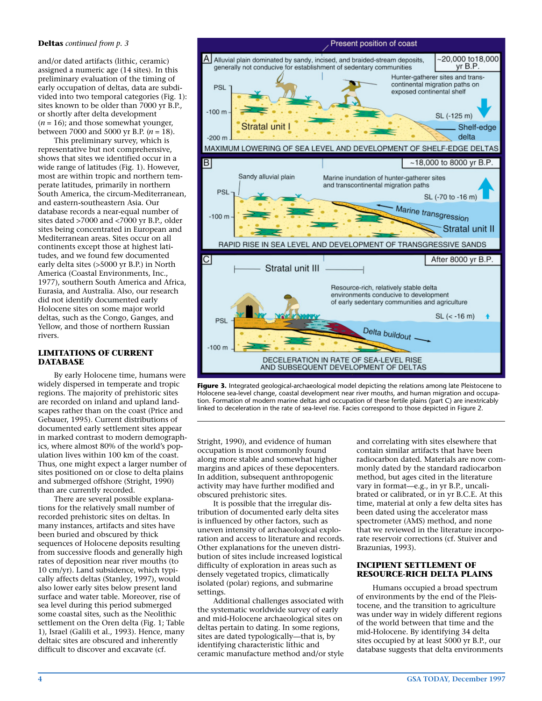#### **Deltas** *continued from p. 3*

and/or dated artifacts (lithic, ceramic) assigned a numeric age (14 sites). In this preliminary evaluation of the timing of early occupation of deltas, data are subdivided into two temporal categories (Fig. 1): sites known to be older than 7000 yr B.P., or shortly after delta development  $(n = 16)$ ; and those somewhat younger, between 7000 and 5000 yr B.P. (*n* = 18).

This preliminary survey, which is representative but not comprehensive, shows that sites we identified occur in a wide range of latitudes (Fig. 1). However, most are within tropic and northern temperate latitudes, primarily in northern South America, the circum-Mediterranean, and eastern-southeastern Asia. Our database records a near-equal number of sites dated >7000 and <7000 yr B.P., older sites being concentrated in European and Mediterranean areas. Sites occur on all continents except those at highest latitudes, and we found few documented early delta sites (>5000 yr B.P.) in North America (Coastal Environments, Inc., 1977), southern South America and Africa, Eurasia, and Australia. Also, our research did not identify documented early Holocene sites on some major world deltas, such as the Congo, Ganges, and Yellow, and those of northern Russian rivers.

#### **LIMITATIONS OF CURRENT DATABASE**

By early Holocene time, humans were widely dispersed in temperate and tropic regions. The majority of prehistoric sites are recorded on inland and upland landscapes rather than on the coast (Price and Gebauer, 1995). Current distributions of documented early settlement sites appear in marked contrast to modern demographics, where almost 80% of the world's population lives within 100 km of the coast. Thus, one might expect a larger number of sites positioned on or close to delta plains and submerged offshore (Stright, 1990) than are currently recorded.

There are several possible explanations for the relatively small number of recorded prehistoric sites on deltas. In many instances, artifacts and sites have been buried and obscured by thick sequences of Holocene deposits resulting from successive floods and generally high rates of deposition near river mouths (to 10 cm/yr). Land subsidence, which typically affects deltas (Stanley, 1997), would also lower early sites below present land surface and water table. Moreover, rise of sea level during this period submerged some coastal sites, such as the Neolithic settlement on the Oren delta (Fig. 1; Table 1), Israel (Galili et al., 1993). Hence, many deltaic sites are obscured and inherently difficult to discover and excavate (cf.



**Figure 3.** Integrated geological-archaeological model depicting the relations among late Pleistocene to Holocene sea-level change, coastal development near river mouths, and human migration and occupation. Formation of modern marine deltas and occupation of these fertile plains (part C) are inextricably linked to deceleration in the rate of sea-level rise. Facies correspond to those depicted in Figure 2.

Stright, 1990), and evidence of human occupation is most commonly found along more stable and somewhat higher margins and apices of these depocenters. In addition, subsequent anthropogenic activity may have further modified and obscured prehistoric sites.

It is possible that the irregular distribution of documented early delta sites is influenced by other factors, such as uneven intensity of archaeological exploration and access to literature and records. Other explanations for the uneven distribution of sites include increased logistical difficulty of exploration in areas such as densely vegetated tropics, climatically isolated (polar) regions, and submarine settings.

Additional challenges associated with the systematic worldwide survey of early and mid-Holocene archaeological sites on deltas pertain to dating. In some regions, sites are dated typologically—that is, by identifying characteristic lithic and ceramic manufacture method and/or style and correlating with sites elsewhere that contain similar artifacts that have been radiocarbon dated. Materials are now commonly dated by the standard radiocarbon method, but ages cited in the literature vary in format—e.g., in yr B.P., uncalibrated or calibrated, or in yr B.C.E. At this time, material at only a few delta sites has been dated using the accelerator mass spectrometer (AMS) method, and none that we reviewed in the literature incorporate reservoir corrections (cf. Stuiver and Brazunias, 1993).

#### **INCIPIENT SETTLEMENT OF RESOURCE-RICH DELTA PLAINS**

Humans occupied a broad spectrum of environments by the end of the Pleistocene, and the transition to agriculture was under way in widely different regions of the world between that time and the mid-Holocene. By identifying 34 delta sites occupied by at least 5000 yr B.P., our database suggests that delta environments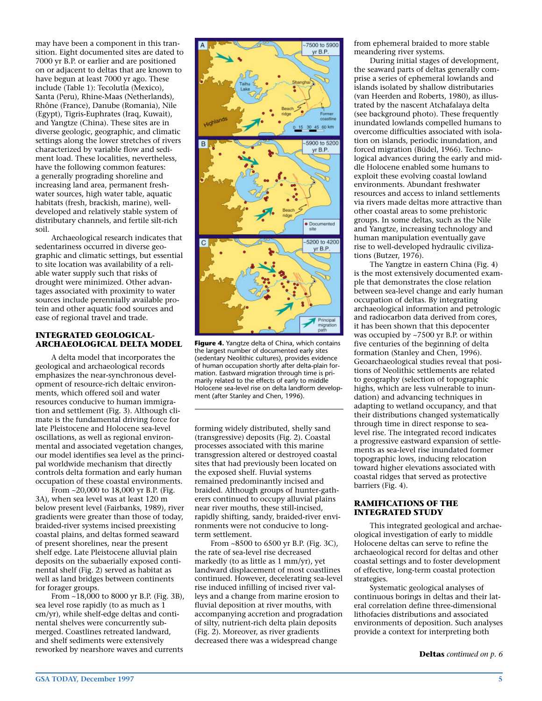may have been a component in this transition. Eight documented sites are dated to 7000 yr B.P. or earlier and are positioned on or adjacent to deltas that are known to have begun at least 7000 yr ago. These include (Table 1): Tecolutla (Mexico), Santa (Peru), Rhine-Maas (Netherlands), Rhône (France), Danube (Romania), Nile (Egypt), Tigris-Euphrates (Iraq, Kuwait), and Yangtze (China). These sites are in diverse geologic, geographic, and climatic settings along the lower stretches of rivers characterized by variable flow and sediment load. These localities, nevertheless, have the following common features: a generally prograding shoreline and increasing land area, permanent freshwater sources, high water table, aquatic habitats (fresh, brackish, marine), welldeveloped and relatively stable system of distributary channels, and fertile silt-rich soil.

Archaeological research indicates that sedentariness occurred in diverse geographic and climatic settings, but essential to site location was availability of a reliable water supply such that risks of drought were minimized. Other advantages associated with proximity to water sources include perennially available protein and other aquatic food sources and ease of regional travel and trade.

#### **INTEGRATED GEOLOGICAL-ARCHAEOLOGICAL DELTA MODEL**

A delta model that incorporates the geological and archaeological records emphasizes the near-synchronous development of resource-rich deltaic environments, which offered soil and water resources conducive to human immigration and settlement (Fig. 3). Although climate is the fundamental driving force for late Pleistocene and Holocene sea-level oscillations, as well as regional environmental and associated vegetation changes, our model identifies sea level as the principal worldwide mechanism that directly controls delta formation and early human occupation of these coastal environments.

From ~20,000 to 18,000 yr B.P. (Fig. 3A), when sea level was at least 120 m below present level (Fairbanks, 1989), river gradients were greater than those of today, braided-river systems incised preexisting coastal plains, and deltas formed seaward of present shorelines, near the present shelf edge. Late Pleistocene alluvial plain deposits on the subaerially exposed continental shelf (Fig. 2) served as habitat as well as land bridges between continents for forager groups.

From ~18,000 to 8000 yr B.P. (Fig. 3B), sea level rose rapidly (to as much as 1 cm/yr), while shelf-edge deltas and continental shelves were concurrently submerged. Coastlines retreated landward, and shelf sediments were extensively reworked by nearshore waves and currents



**Figure 4.** Yangtze delta of China, which contains the largest number of documented early sites (sedentary Neolithic cultures), provides evidence of human occupation shortly after delta-plain formation. Eastward migration through time is primarily related to the effects of early to middle Holocene sea-level rise on delta landform development (after Stanley and Chen, 1996).

forming widely distributed, shelly sand (transgressive) deposits (Fig. 2). Coastal processes associated with this marine transgression altered or destroyed coastal sites that had previously been located on the exposed shelf. Fluvial systems remained predominantly incised and braided. Although groups of hunter-gatherers continued to occupy alluvial plains near river mouths, these still-incised, rapidly shifting, sandy, braided-river environments were not conducive to longterm settlement.

From ~8500 to 6500 yr B.P. (Fig. 3C), the rate of sea-level rise decreased markedly (to as little as 1 mm/yr), yet landward displacement of most coastlines continued. However, decelerating sea-level rise induced infilling of incised river valleys and a change from marine erosion to fluvial deposition at river mouths, with accompanying accretion and progradation of silty, nutrient-rich delta plain deposits (Fig. 2). Moreover, as river gradients decreased there was a widespread change

from ephemeral braided to more stable meandering river systems.

During initial stages of development, the seaward parts of deltas generally comprise a series of ephemeral lowlands and islands isolated by shallow distributaries (van Heerden and Roberts, 1980), as illustrated by the nascent Atchafalaya delta (see background photo). These frequently inundated lowlands compelled humans to overcome difficulties associated with isolation on islands, periodic inundation, and forced migration (Büdel, 1966). Technological advances during the early and middle Holocene enabled some humans to exploit these evolving coastal lowland environments. Abundant freshwater resources and access to inland settlements via rivers made deltas more attractive than other coastal areas to some prehistoric groups. In some deltas, such as the Nile and Yangtze, increasing technology and human manipulation eventually gave rise to well-developed hydraulic civilizations (Butzer, 1976).

The Yangtze in eastern China (Fig. 4) is the most extensively documented example that demonstrates the close relation between sea-level change and early human occupation of deltas. By integrating archaeological information and petrologic and radiocarbon data derived from cores, it has been shown that this depocenter was occupied by ~7500 yr B.P. or within five centuries of the beginning of delta formation (Stanley and Chen, 1996). Geoarchaeological studies reveal that positions of Neolithic settlements are related to geography (selection of topographic highs, which are less vulnerable to inundation) and advancing techniques in adapting to wetland occupancy, and that their distributions changed systematically through time in direct response to sealevel rise. The integrated record indicates a progressive eastward expansion of settlements as sea-level rise inundated former topographic lows, inducing relocation toward higher elevations associated with coastal ridges that served as protective barriers (Fig. 4).

#### **RAMIFICATIONS OF THE INTEGRATED STUDY**

This integrated geological and archaeological investigation of early to middle Holocene deltas can serve to refine the archaeological record for deltas and other coastal settings and to foster development of effective, long-term coastal protection strategies.

Systematic geological analyses of continuous borings in deltas and their lateral correlation define three-dimensional lithofacies distributions and associated environments of deposition. Such analyses provide a context for interpreting both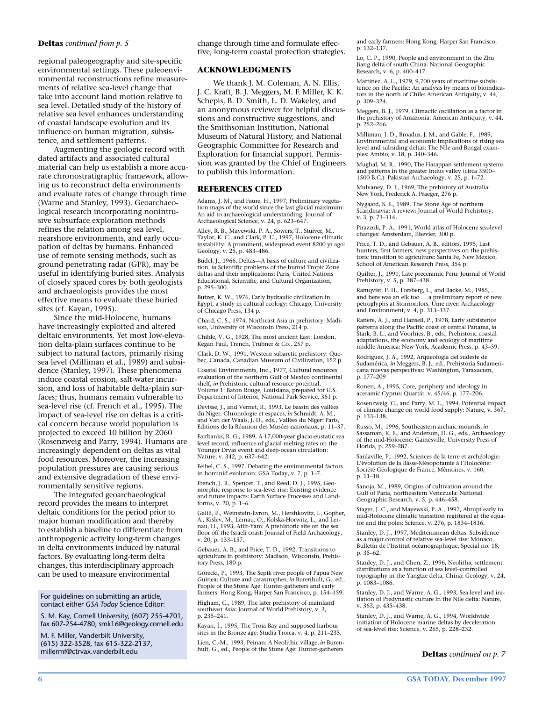#### **Deltas** *continued from p. 5*

regional paleogeography and site-specific environmental settings. These paleoenvironmental reconstructions refine measurements of relative sea-level change that take into account land motion relative to sea level. Detailed study of the history of relative sea level enhances understanding of coastal landscape evolution and its influence on human migration, subsistence, and settlement patterns.

Augmenting the geologic record with dated artifacts and associated cultural material can help us establish a more accurate chronostratigraphic framework, allowing us to reconstruct delta environments and evaluate rates of change through time (Warne and Stanley, 1993). Geoarchaeological research incorporating nonintrusive subsurface exploration methods refines the relation among sea level, nearshore environments, and early occupation of deltas by humans. Enhanced use of remote sensing methods, such as ground penetrating radar (GPR), may be useful in identifying buried sites. Analysis of closely spaced cores by both geologists and archaeologists provides the most effective means to evaluate these buried sites (cf. Kayan, 1995).

Since the mid-Holocene, humans have increasingly exploited and altered deltaic environments. Yet most low-elevation delta-plain surfaces continue to be subject to natural factors, primarily rising sea level (Milliman et al., 1989) and subsidence (Stanley, 1997). These phenomena induce coastal erosion, salt-water incursion, and loss of habitable delta-plain surfaces; thus, humans remain vulnerable to sea-level rise (cf. French et al., 1995). The impact of sea-level rise on deltas is a critical concern because world population is projected to exceed 10 billion by 2060 (Rosenzweig and Parry, 1994). Humans are increasingly dependent on deltas as vital food resources. Moreover, the increasing population pressures are causing serious and extensive degradation of these environmentally sensitive regions.

The integrated geoarchaeological record provides the means to interpret deltaic conditions for the period prior to major human modification and thereby to establish a baseline to differentiate from anthropogenic activity long-term changes in delta environments induced by natural factors. By evaluating long-term delta changes, this interdisciplinary approach can be used to measure environmental

For guidelines on submitting an article, contact either *GSA Today* Science Editor:

S. M. Kay, Cornell University, (607) 255-4701, fax 607-254-4780, smk16@geology.cornell.edu

M. F. Miller, Vanderbilt University, (615) 322-3528, fax 615-322-2137, change through time and formulate effective, long-term coastal protection strategies.

#### **ACKNOWLEDGMENTS**

We thank J. M. Coleman, A. N. Ellis, J. C. Kraft, B. J. Meggers, M. F. Miller, K. K. Schepis, B. D. Smith, L. D. Wakeley, and an anonymous reviewer for helpful discussions and constructive suggestions, and the Smithsonian Institution, National Museum of Natural History, and National Geographic Committee for Research and Exploration for financial support. Permission was granted by the Chief of Engineers to publish this information.

#### **REFERENCES CITED**

Adams, J. M., and Faure, H., 1997, Preliminary vegetation maps of the world since the last glacial maximum: An aid to archaeological understanding: Journal of Archaeological Science, v. 24, p. 623–647.

Alley, R. B., Mayewski, P. A., Sowers, T., Stuiver, M., Taylor, K. C., and Clark, P. U., 1997, Holocene climatic instability: A prominent, widespread event 8200 yr ago: Geology, v. 25, p. 483–486.

Büdel, J., 1966, Deltas—A basis of culture and civilization, *in* Scientific problems of the humid Tropic Zone deltas and their implications: Paris, United Nations Educational, Scientific, and Cultural Organization, p. 295–300.

Butzer, K. W., 1976, Early hydraulic civilization in Egypt, a study in cultural ecology: Chicago, University of Chicago Press, 134 p.

Chard, C. S., 1974, Northeast Asia in prehistory: Madison, University of Wisconsin Press, 214 p.

Childe, V. G., 1928, The most ancient East: London, Kegan Paul, Trench, Trubner & Co., 257 p.

Clark, D. W., 1991, Western subarctic prehistory: Quebec, Canada, Canadian Museum of Civilization, 152 p.

Coastal Environments, Inc., 1977, Cultural resources evaluation of the northern Gulf of Mexico continental shelf, *in* Prehistoric cultural resource potential, Volume 1: Baton Rouge, Louisiana, prepared for U.S. Department of Interior, National Park Service, 361 p.

Devisse, J., and Vernet, R., 1993, Le bassin des vallées du Niger: Chronologie et espaces, *in* Schmidt, A. M., and Van der Waals, J. D., eds., Vallées du Niger: Paris, Editions de la Réunion des Musées nationaux, p. 11–37.

Fairbanks, R. G., 1989, A 17,000-year glacio-eustatic sea level record, influence of glacial melting rates on the Younger Dryas event and deep-ocean circulation: Nature, v. 342, p. 637–642.

Feibel, C. S., 1997, Debating the environmental factors in hominid evolution: GSA Today, v. 7, p. 1–7.

French, J. R., Spencer, T., and Reed, D. J., 1995, Geomorphic response to sea-level rise: Existing evidence and future impacts: Earth Surface Processes and Landforms, v. 20, p. 1–6.

Galili, E., Weinstein-Evron, M., Hershkovitz, I., Gopher, A., Kislev, M., Lernau, O., Kolska-Horwitz, L., and Ler-nau, H., 1993, Atlit-Yam: A prehistoric site on the sea floor off the Israeli coast: Journal of Field Archaeology, v. 20, p. 133–157.

Gebauer, A. B., and Price, T. D., 1992, Transitions to agriculture in prehistory: Madison, Wisconsin, Prehistory Press, 180 p.

Gorecki, P., 1993, The Sepik river people of Papua New Guinea: Culture and catastrophes, *in* Burenhult, G., ed., People of the Stone Age: Hunter-gatherers and early farmers: Hong Kong, Harper San Francisco, p. 154–159.

Higham, C., 1989, The later prehistory of mainland southeast Asia: Journal of World Prehistory, v. 3, p. 235–241.

.<br>Kayan, I., 1995, The Troia Bay and supposed harbour sites in the Bronze age: Studia Troica, v. 4, p. 211-235.

Lien, C.-M., 1993, Peinan: A Neolithic village, *in* Burenhult, G., ed., People of the Stone Age: Hunter-gatherers

and early farmers: Hong Kong, Harper San Francisco, p. 132–137.

Lo, C. P., 1990, People and environment in the Zhu Jiang delta of south China: National Geographic Research, v. 6, p. 400–417.

Martinez, A. L., 1979, 9,700 years of maritime subsistence on the Pacific: An analysis by means of bioindicators in the north of Chile: American Antiquity, v. 44, p. 309–324.

Meggers, B. J., 1979, Climactic oscillation as a factor in the prehistory of Amazonia: American Antiquity, v. 44, p. 252–266.

Milliman, J. D., Broadus, J. M., and Gable, F., 1989, Environmental and economic implications of rising sea level and subsiding deltas: The Nile and Bengal examples: Ambio, v. 18, p. 340–346.

Mughal, M. R., 1990, The Harappan settlement systems and patterns in the greater Indus valley (circa 3500– 1500 B.C.): Pakistan Archaeology, v. 25, p. 1–72.

Mulvaney, D. J., 1969, The prehistory of Australia: New York, Frederick A. Praeger, 276 p.

Nygaard, S. E., 1989, The Stone Age of northern Scandinavia: A review: Journal of World Prehistory, v. 3, p. 71–116.

Pirazzoli, P. A., 1991, World atlas of Holocene sea-level changes: Amsterdam, Elsevier, 300 p.

Price, T. D., and Gebauer, A. B., editors, 1995, Last hunters, first farmers, new perspectives on the prehistoric transition to agriculture: Santa Fe, New Mexico, School of American Research Press, 354 p.

Quilter, J., 1991, Late preceramic Peru: Journal of World Prehistory, v. 5, p. 387–438.

Ramqvist, P. H., Forsberg, L., and Backe, M., 1985, … and here was an elk too … a preliminary report of new petroglyphs at Stornorrfors, Ume river: Archaeology and Environment, v. 4, p. 313–337.

Ranere, A. J., and Hansell, P., 1978, Early subsistence patterns along the Pacific coast of central Panama, *in* Stark, B. L., and Voorhies, B., eds., Prehistoric coastal adaptations, the economy and ecology of maritime middle America: New York, Academic Press, p. 43–59.

Rodríguez, J. A., 1992, Arqueología del sudeste de Sudamérica, *in* Meggers, B. J., ed., Prehistoría Sudamericana nuevas perspectivas: Washington, Taraxacum, p. 177–209

Ronen, A., 1995, Core, periphery and ideology in aceramic Cyprus: Quartär, v. 45/46, p. 177–206.

Rosenzweig, C., and Parry, M. L., 1994, Potential impact of climate change on world food supply: Nature, v. 367, p. 133–138.

Russo, M., 1996, Southeastern archaic mounds, *in* Sassaman, K. E., and Anderson, D. G., eds., Archaeology of the mid-Holocene: Gainesville, University Press of Florida, p. 259–287.

Sanlaville, P., 1992, Sciences de la terre et archéologie: L'évolution de la Basse-Mésopotamie à l'Holocène: Société Géologique de France, Mémoires, v. 160, p. 11–18.

Sanoja, M., 1989, Origins of cultivation around the Gulf of Paria, northeastern Venezuela: National Geographic Research, v. 5, p. 446–458.

Stager, J. C., and Mayewski, P. A., 1997, Abrupt early to mid-Holocene climatic transition registered at the equator and the poles: Science, v. 276, p. 1834–1836.

Stanley, D. J., 1997, Mediterranean deltas: Subsidence as a major control of relative sea-level rise: Monaco, Bulletin de l'Institut océanographique, Special no. 18, p. 35–62.

Stanley, D. J., and Chen, Z., 1996, Neolithic settlement distributions as a function of sea level–controlled topography in the Yangtze delta, China: Geology, v. 24, p. 1083–1086.

Stanley, D. J., and Warne, A. G., 1993, Sea level and initiation of Predynastic culture in the Nile delta: Nature, v. 363, p. 435–438.

Stanley, D. J., and Warne, A. G., 1994, Worldwide initiation of Holocene marine deltas by deceleration of sea-level rise: Science, v. 265, p. 228–232.